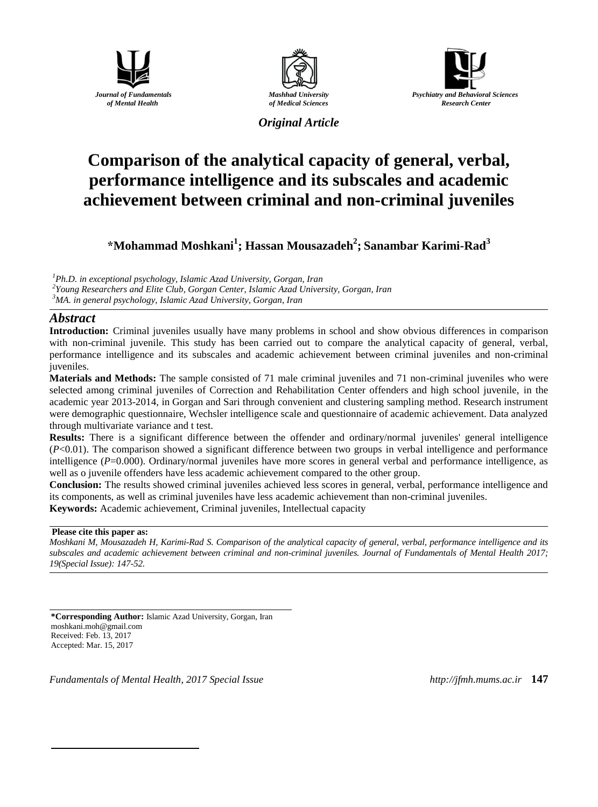





*Original Article*

# **Comparison of the analytical capacity of general, verbal, performance intelligence and its subscales and academic achievement between criminal and non-criminal juveniles**

**\*Mohammad Moshkani<sup>1</sup> ; Hassan Mousazadeh<sup>2</sup> ; Sanambar Karimi-Rad<sup>3</sup>**

*<sup>1</sup>Ph.D. in exceptional psychology, Islamic Azad University, Gorgan, Iran*

*2 Young Researchers and Elite Club, Gorgan Center, Islamic Azad University, Gorgan, Iran*

*<sup>3</sup>MA. in general psychology, Islamic Azad University, Gorgan, Iran*

## *Abstract*

**Introduction:** Criminal juveniles usually have many problems in school and show obvious differences in comparison with non-criminal juvenile. This study has been carried out to compare the analytical capacity of general, verbal, performance intelligence and its subscales and academic achievement between criminal juveniles and non-criminal juveniles.

**Materials and Methods:** The sample consisted of 71 male criminal juveniles and 71 non-criminal juveniles who were selected among criminal juveniles of Correction and Rehabilitation Center offenders and high school juvenile, in the academic year 2013-2014, in Gorgan and Sari through convenient and clustering sampling method. Research instrument were demographic questionnaire, Wechsler intelligence scale and questionnaire of academic achievement. Data analyzed through multivariate variance and t test.

**Results:** There is a significant difference between the offender and ordinary/normal juveniles' general intelligence (*P*<0.01). The comparison showed a significant difference between two groups in verbal intelligence and performance intelligence (*P*=0.000). Ordinary/normal juveniles have more scores in general verbal and performance intelligence, as well as o juvenile offenders have less academic achievement compared to the other group.

**Conclusion:** The results showed criminal juveniles achieved less scores in general, verbal, performance intelligence and its components, as well as criminal juveniles have less academic achievement than non-criminal juveniles.

**Keywords:** Academic achievement, Criminal juveniles, Intellectual capacity

### **Please cite this paper as:**

1

*Moshkani M, Mousazadeh H, Karimi-Rad S. Comparison of the analytical capacity of general, verbal, performance intelligence and its subscales and academic achievement between criminal and non-criminal juveniles. Journal of Fundamentals of Mental Health 2017; 19(Special Issue): 147-52.*

**\*Corresponding Author:** Islamic Azad University, Gorgan, Iran moshkani.moh@gmail.com Received: Feb. 13, 2017 Accepted: Mar. 15, 2017

*Fundamentals of Mental Health, 2017 Special Issue http://jfmh.mums.ac.ir* **147**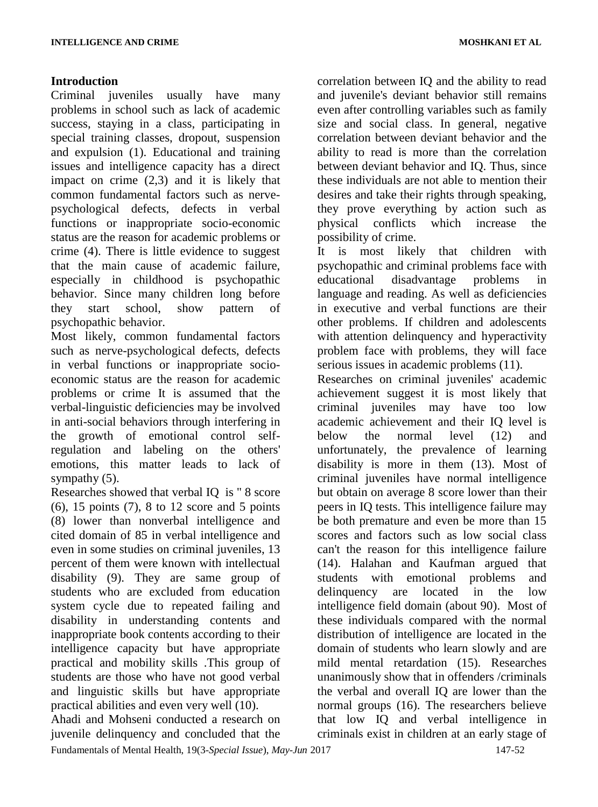## **Introduction**

Criminal juveniles usually have many problems in school such as lack of academic success, staying in a class, participating in special training classes, dropout, suspension and expulsion (1). Educational and training issues and intelligence capacity has a direct impact on crime (2,3) and it is likely that common fundamental factors such as nervepsychological defects, defects in verbal functions or inappropriate socio-economic status are the reason for academic problems or crime (4). There is little evidence to suggest that the main cause of academic failure, especially in childhood is psychopathic behavior. Since many children long before they start school, show pattern of psychopathic behavior.

Most likely, common fundamental factors such as nerve-psychological defects, defects in verbal functions or inappropriate socioeconomic status are the reason for academic problems or crime It is assumed that the verbal-linguistic deficiencies may be involved in anti-social behaviors through interfering in the growth of emotional control selfregulation and labeling on the others' emotions, this matter leads to lack of sympathy  $(5)$ .

Researches showed that verbal IQ is " 8 score (6), 15 points (7), 8 to 12 score and 5 points (8) lower than nonverbal intelligence and cited domain of 85 in verbal intelligence and even in some studies on criminal juveniles, 13 percent of them were known with intellectual disability (9). They are same group of students who are excluded from education system cycle due to repeated failing and disability in understanding contents and inappropriate book contents according to their intelligence capacity but have appropriate practical and mobility skills .This group of students are those who have not good verbal and linguistic skills but have appropriate practical abilities and even very well (10).

Ahadi and Mohseni conducted a research on juvenile delinquency and concluded that the correlation between IQ and the ability to read and juvenile's deviant behavior still remains even after controlling variables such as family size and social class. In general, negative correlation between deviant behavior and the ability to read is more than the correlation between deviant behavior and IQ. Thus, since these individuals are not able to mention their desires and take their rights through speaking, they prove everything by action such as physical conflicts which increase the possibility of crime.

It is most likely that children with psychopathic and criminal problems face with educational disadvantage problems in language and reading. As well as deficiencies in executive and verbal functions are their other problems. If children and adolescents with attention delinquency and hyperactivity problem face with problems, they will face serious issues in academic problems (11).

Researches on criminal juveniles' academic achievement suggest it is most likely that criminal juveniles may have too low academic achievement and their IQ level is below the normal level (12) and unfortunately, the prevalence of learning disability is more in them (13). Most of criminal juveniles have normal intelligence but obtain on average 8 score lower than their peers in IQ tests. This intelligence failure may be both premature and even be more than 15 scores and factors such as low social class can't the reason for this intelligence failure (14). Halahan and Kaufman argued that students with emotional problems and delinquency are located in the low intelligence field domain (about 90). Most of these individuals compared with the normal distribution of intelligence are located in the domain of students who learn slowly and are mild mental retardation (15). Researches unanimously show that in offenders /criminals the verbal and overall IQ are lower than the normal groups (16). The researchers believe that low IQ and verbal intelligence in criminals exist in children at an early stage of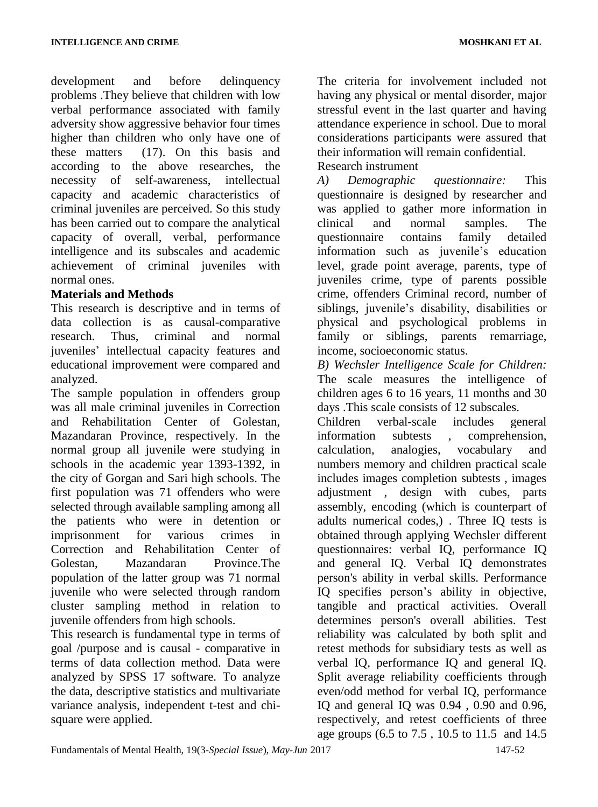development and before delinquency problems .They believe that children with low verbal performance associated with family adversity show aggressive behavior four times higher than children who only have one of these matters (17). On this basis and according to the above researches, the necessity of self-awareness, intellectual capacity and academic characteristics of criminal juveniles are perceived. So this study has been carried out to compare the analytical capacity of overall, verbal, performance intelligence and its subscales and academic achievement of criminal juveniles with normal ones.

## **Materials and Methods**

This research is descriptive and in terms of data collection is as causal-comparative research. Thus, criminal and normal juveniles' intellectual capacity features and educational improvement were compared and analyzed.

The sample population in offenders group was all male criminal juveniles in Correction and Rehabilitation Center of Golestan, Mazandaran Province, respectively. In the normal group all juvenile were studying in schools in the academic year 1393-1392, in the city of Gorgan and Sari high schools. The first population was 71 offenders who were selected through available sampling among all the patients who were in detention or imprisonment for various crimes in Correction and Rehabilitation Center of Golestan, Mazandaran Province.The population of the latter group was 71 normal juvenile who were selected through random cluster sampling method in relation to juvenile offenders from high schools.

This research is fundamental type in terms of goal /purpose and is causal - comparative in terms of data collection method. Data were analyzed by SPSS 17 software. To analyze the data, descriptive statistics and multivariate variance analysis, independent t-test and chisquare were applied.

The criteria for involvement included not having any physical or mental disorder, major stressful event in the last quarter and having attendance experience in school. Due to moral considerations participants were assured that their information will remain confidential. Research instrument

*A) Demographic questionnaire:* This questionnaire is designed by researcher and was applied to gather more information in clinical and normal samples. The questionnaire contains family detailed information such as juvenile's education level, grade point average, parents, type of juveniles crime, type of parents possible crime, offenders Criminal record, number of siblings, juvenile's disability, disabilities or physical and psychological problems in family or siblings, parents remarriage, income, socioeconomic status.

*B) Wechsler Intelligence Scale for Children:* The scale measures the intelligence of children ages 6 to 16 years, 11 months and 30 days .This scale consists of 12 subscales.

Children verbal-scale includes general information subtests , comprehension, calculation, analogies, vocabulary and numbers memory and children practical scale includes images completion subtests , images adjustment , design with cubes, parts assembly, encoding (which is counterpart of adults numerical codes,) . Three IQ tests is obtained through applying Wechsler different questionnaires: verbal IQ, performance IQ and general IQ. Verbal IQ demonstrates person's ability in verbal skills. Performance IQ specifies person's ability in objective, tangible and practical activities. Overall determines person's overall abilities. Test reliability was calculated by both split and retest methods for subsidiary tests as well as verbal IQ, performance IQ and general IQ. Split average reliability coefficients through even/odd method for verbal IQ, performance IQ and general IQ was 0.94 , 0.90 and 0.96, respectively, and retest coefficients of three age groups (6.5 to 7.5 , 10.5 to 11.5 and 14.5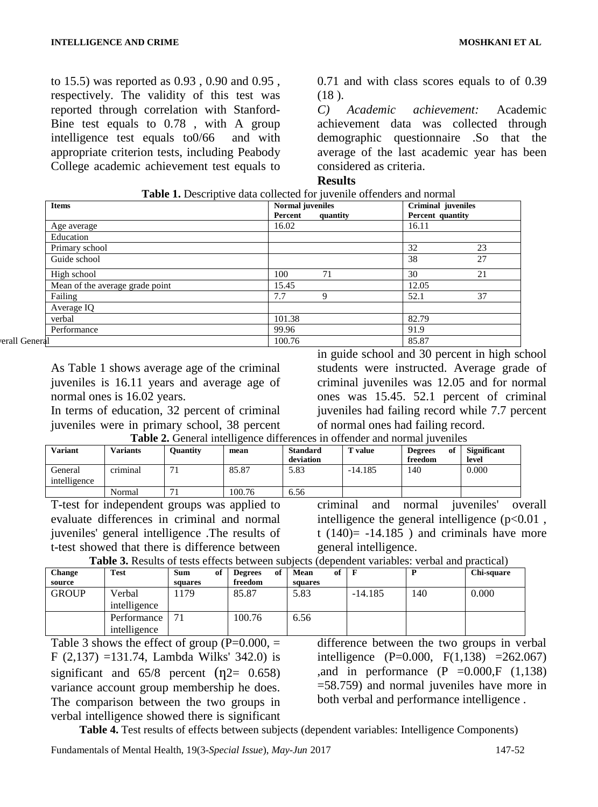to 15.5) was reported as 0.93 , 0.90 and 0.95 , respectively. The validity of this test was reported through correlation with Stanford-Bine test equals to 0.78 , with A group intelligence test equals to0/66 and with appropriate criterion tests, including Peabody College academic achievement test equals to 0.71 and with class scores equals to of 0.39 (18 ).

*C) Academic achievement:* Academic achievement data was collected through demographic questionnaire .So that the average of the last academic year has been considered as criteria.

### **Results**

| <b>Items</b>                    | <b>Normal</b> juveniles<br>Percent<br>quantity | <b>Criminal</b> juveniles<br>Percent quantity |
|---------------------------------|------------------------------------------------|-----------------------------------------------|
| Age average                     | 16.02                                          | 16.11                                         |
| Education                       |                                                |                                               |
| Primary school                  |                                                | 32<br>23                                      |
| Guide school                    |                                                | 38<br>27                                      |
| High school                     | 100<br>71                                      | 30<br>21                                      |
| Mean of the average grade point | 15.45                                          | 12.05                                         |
| Failing                         | 7.7<br>9                                       | 37<br>52.1                                    |
| Average IQ                      |                                                |                                               |
| verbal                          | 101.38                                         | 82.79                                         |
| Performance                     | 99.96                                          | 91.9                                          |
| erall General                   | 100.76                                         | 85.87                                         |

**Table 1.** Descriptive data collected for juvenile offenders and normal

As Table 1 shows average age of the criminal juveniles is 16.11 years and average age of normal ones is 16.02 years.

In terms of education, 32 percent of criminal juveniles were in primary school, 38 percent in guide school and 30 percent in high school students were instructed. Average grade of criminal juveniles was 12.05 and for normal ones was 15.45. 52.1 percent of criminal juveniles had failing record while 7.7 percent of normal ones had failing record.

**Table 2.** General intelligence differences in offender and normal juveniles

| <b>Variant</b>          | <b>Variants</b> | Ouantity | mean   | <b>Standard</b><br>deviation | ' value   | <b>Degrees</b><br>оf<br>freedom | <b>Significant</b><br>level |
|-------------------------|-----------------|----------|--------|------------------------------|-----------|---------------------------------|-----------------------------|
| General<br>intelligence | . .<br>criminal |          | 85.87  | 5.83                         | $-14.185$ | 140                             | 0.000                       |
|                         | Normal          | - 1      | 100.76 | 6.56                         |           |                                 |                             |

T-test for independent groups was applied to evaluate differences in criminal and normal juveniles' general intelligence .The results of t-test showed that there is difference between criminal and normal juveniles' overall intelligence the general intelligence  $(p<0.01$ , t  $(140)$  = -14.185 ) and criminals have more general intelligence.

| <b>Table 3.</b> Results of tests effects between subjects (dependent variables: verbal and practical) |            |                    |  |  |  |            |  |
|-------------------------------------------------------------------------------------------------------|------------|--------------------|--|--|--|------------|--|
| Test                                                                                                  | $C_{11}$ m | of Dogrape of Moon |  |  |  | Chi-sauare |  |

| <b>Change</b> | <b>Test</b>  | <b>Sum</b> | of | of<br><b>Degrees</b> | Mean    | of |           |     | Chi-square |
|---------------|--------------|------------|----|----------------------|---------|----|-----------|-----|------------|
| source        |              | squares    |    | freedom              | squares |    |           |     |            |
| <b>GROUP</b>  | Verbal       | 179        |    | 85.87                | 5.83    |    | $-14.185$ | 140 | 0.000      |
|               | intelligence |            |    |                      |         |    |           |     |            |
|               | Performance  |            |    | 100.76               | 6.56    |    |           |     |            |
|               | intelligence |            |    |                      |         |    |           |     |            |

Table 3 shows the effect of group  $(P=0.000, =$ F (2,137) =131.74, Lambda Wilks' 342.0) is significant and  $65/8$  percent  $(\eta2= 0.658)$ variance account group membership he does. The comparison between the two groups in verbal intelligence showed there is significant difference between the two groups in verbal intelligence (P=0.000, F(1,138) =262.067) ,and in performance  $(P = 0.000)$ , F  $(1,138)$ =58.759) and normal juveniles have more in both verbal and performance intelligence .

**Table 4.** Test results of effects between subjects (dependent variables: Intelligence Components)

Fundamentals of Mental Health, 19(3-*Special Issue*), *May-Jun* 2017 147-52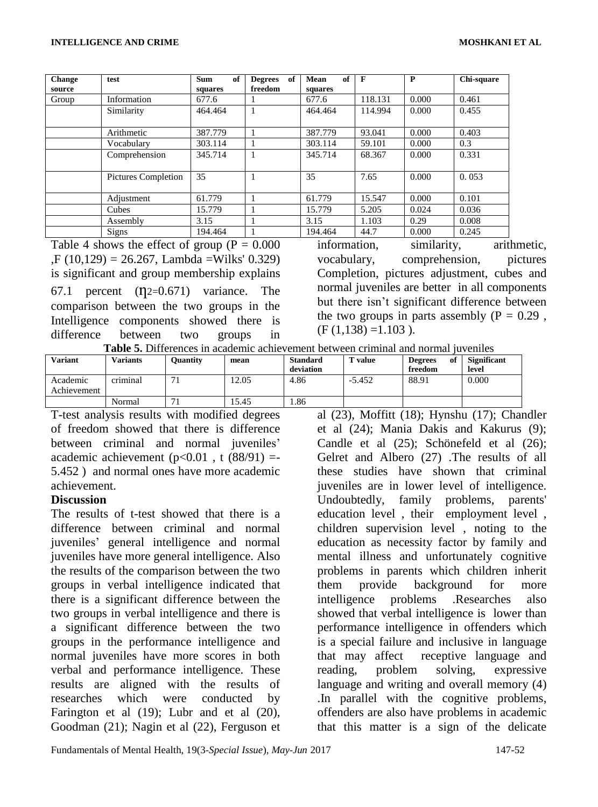| <b>Change</b><br>source | test                       | <b>Sum</b><br>of<br>squares | of<br><b>Degrees</b><br>freedom | of<br>Mean<br>squares | $\mathbf{F}$ | P     | Chi-square |
|-------------------------|----------------------------|-----------------------------|---------------------------------|-----------------------|--------------|-------|------------|
| Group                   | Information                | 677.6                       |                                 | 677.6                 | 118.131      | 0.000 | 0.461      |
|                         | Similarity                 | 464.464                     |                                 | 464.464               | 114.994      | 0.000 | 0.455      |
|                         | Arithmetic                 | 387.779                     |                                 | 387.779               | 93.041       | 0.000 | 0.403      |
|                         | Vocabulary                 | 303.114                     |                                 | 303.114               | 59.101       | 0.000 | 0.3        |
|                         | Comprehension              | 345.714                     |                                 | 345.714               | 68.367       | 0.000 | 0.331      |
|                         | <b>Pictures Completion</b> | 35                          | 1                               | 35                    | 7.65         | 0.000 | 0.053      |
|                         | Adjustment                 | 61.779                      |                                 | 61.779                | 15.547       | 0.000 | 0.101      |
|                         | Cubes                      | 15.779                      | 1                               | 15.779                | 5.205        | 0.024 | 0.036      |
|                         | Assembly                   | 3.15                        |                                 | 3.15                  | 1.103        | 0.29  | 0.008      |
|                         | <b>Signs</b>               | 194.464                     |                                 | 194.464               | 44.7         | 0.000 | 0.245      |

Table 4 shows the effect of group ( $P = 0.000$ ) ,F (10,129) = 26.267, Lambda =Wilks' 0.329) is significant and group membership explains 67.1 percent  $(12=0.671)$  variance. The comparison between the two groups in the Intelligence components showed there is difference between two groups in

information, similarity, arithmetic, vocabulary, comprehension, pictures Completion, pictures adjustment, cubes and normal juveniles are better in all components but there isn't significant difference between the two groups in parts assembly  $(P = 0.29$ ,  $(F (1,138) = 1.103)$ .

| <b>Table 5.</b> Differences in academic achievement between criminal and normal juveniles |  |
|-------------------------------------------------------------------------------------------|--|
|-------------------------------------------------------------------------------------------|--|

| <b>Variant</b>          | <b>Variants</b> | Ouantity | mean  | <b>Standard</b><br>deviation | value    | of<br><b>Degrees</b><br>freedom | <b>Significant</b><br>level |
|-------------------------|-----------------|----------|-------|------------------------------|----------|---------------------------------|-----------------------------|
| Academic<br>Achievement | criminal        |          | 12.05 | 4.86                         | $-5.452$ | 88.91                           | 0.000                       |
|                         | Normal          |          | 5.45  | .86                          |          |                                 |                             |

T-test analysis results with modified degrees of freedom showed that there is difference between criminal and normal juveniles' academic achievement  $(p<0.01$ , t  $(88/91)$  =-5.452 ) and normal ones have more academic achievement.

### **Discussion**

The results of t-test showed that there is a difference between criminal and normal juveniles' general intelligence and normal juveniles have more general intelligence. Also the results of the comparison between the two groups in verbal intelligence indicated that there is a significant difference between the two groups in verbal intelligence and there is a significant difference between the two groups in the performance intelligence and normal juveniles have more scores in both verbal and performance intelligence. These results are aligned with the results of researches which were conducted by Farington et al (19); Lubr and et al (20), Goodman (21); Nagin et al (22), Ferguson et

al (23), Moffitt (18); Hynshu (17); Chandler et al (24); Mania Dakis and Kakurus (9); Candle et al (25); Schönefeld et al (26); Gelret and Albero (27) .The results of all these studies have shown that criminal juveniles are in lower level of intelligence. Undoubtedly, family problems, parents' education level , their employment level , children supervision level , noting to the education as necessity factor by family and mental illness and unfortunately cognitive problems in parents which children inherit them provide background for more intelligence problems .Researches also showed that verbal intelligence is lower than performance intelligence in offenders which is a special failure and inclusive in language that may affect receptive language and reading, problem solving, expressive language and writing and overall memory (4) .In parallel with the cognitive problems, offenders are also have problems in academic that this matter is a sign of the delicate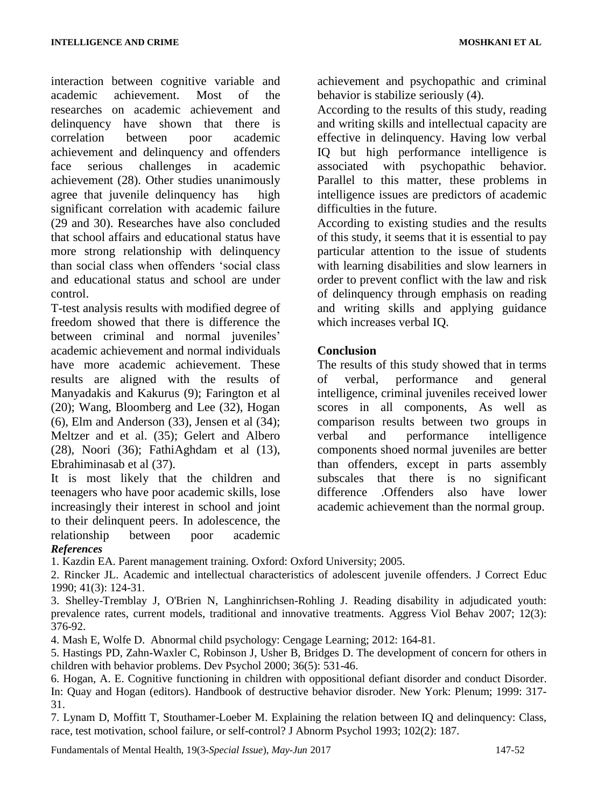interaction between cognitive variable and academic achievement. Most of the researches on academic achievement and delinquency have shown that there is correlation between poor academic achievement and delinquency and offenders face serious challenges in academic achievement (28). Other studies unanimously agree that juvenile delinquency has high significant correlation with academic failure (29 and 30). Researches have also concluded that school affairs and educational status have more strong relationship with delinquency than social class when offenders 'social class and educational status and school are under control.

T-test analysis results with modified degree of freedom showed that there is difference the between criminal and normal juveniles' academic achievement and normal individuals have more academic achievement. These results are aligned with the results of Manyadakis and Kakurus (9); Farington et al (20); Wang, Bloomberg and Lee (32), Hogan (6), Elm and Anderson (33), Jensen et al (34); Meltzer and et al. (35); Gelert and Albero (28), Noori (36); FathiAghdam et al (13), Ebrahiminasab et al (37).

It is most likely that the children and teenagers who have poor academic skills, lose increasingly their interest in school and joint to their delinquent peers. In adolescence, the relationship between poor academic achievement and psychopathic and criminal behavior is stabilize seriously (4).

According to the results of this study, reading and writing skills and intellectual capacity are effective in delinquency. Having low verbal IQ but high performance intelligence is associated with psychopathic behavior. Parallel to this matter, these problems in intelligence issues are predictors of academic difficulties in the future.

According to existing studies and the results of this study, it seems that it is essential to pay particular attention to the issue of students with learning disabilities and slow learners in order to prevent conflict with the law and risk of delinquency through emphasis on reading and writing skills and applying guidance which increases verbal IQ.

# **Conclusion**

The results of this study showed that in terms of verbal, performance and general intelligence, criminal juveniles received lower scores in all components, As well as comparison results between two groups in verbal and performance intelligence components shoed normal juveniles are better than offenders, except in parts assembly subscales that there is no significant difference .Offenders also have lower academic achievement than the normal group.

### *References*

1. Kazdin EA. Parent management training. Oxford: Oxford University; 2005.

2. Rincker JL. Academic and intellectual characteristics of adolescent juvenile offenders. J Correct Educ 1990; 41(3): 124-31.

3. Shelley-Tremblay J, O'Brien N, Langhinrichsen-Rohling J. Reading disability in adjudicated youth: prevalence rates, current models, traditional and innovative treatments. Aggress Viol Behav 2007; 12(3): 376-92.

4. Mash E, Wolfe D. Abnormal child psychology: Cengage Learning; 2012: 164-81.

5. Hastings PD, Zahn-Waxler C, Robinson J, Usher B, Bridges D. The development of concern for others in children with behavior problems. Dev Psychol 2000; 36(5): 531-46.

6. Hogan, A. E. Cognitive functioning in children with oppositional defiant disorder and conduct Disorder. In: Quay and Hogan (editors). Handbook of destructive behavior disroder. New York: Plenum; 1999: 317- 31.

7. Lynam D, Moffitt T, Stouthamer-Loeber M. Explaining the relation between IQ and delinquency: Class, race, test motivation, school failure, or self-control? J Abnorm Psychol 1993; 102(2): 187.

Fundamentals of Mental Health, 19(3-*Special Issue*), *May-Jun* 2017 147-52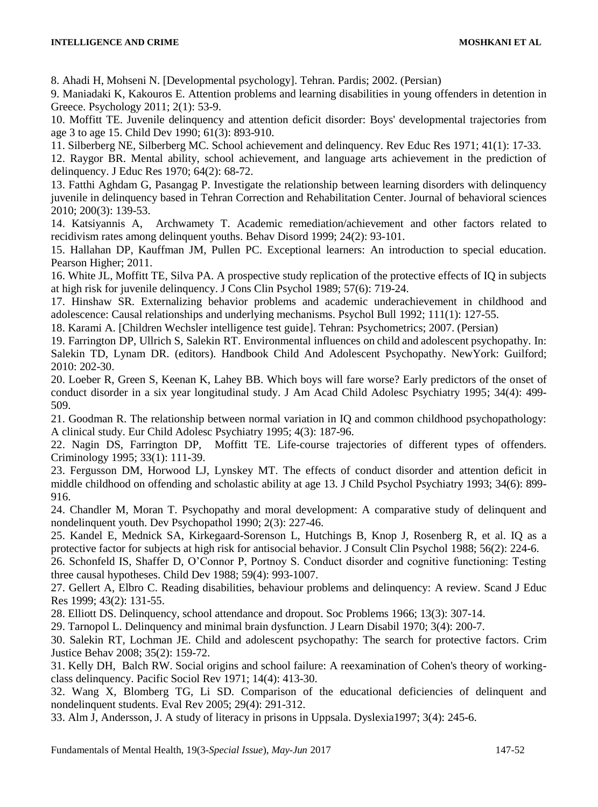8. Ahadi H, Mohseni N. [Developmental psychology]. Tehran. Pardis; 2002. (Persian)

9. Maniadaki K, Kakouros E. Attention problems and learning disabilities in young offenders in detention in Greece. Psychology 2011; 2(1): 53-9.

10. Moffitt TE. Juvenile delinquency and attention deficit disorder: Boys' developmental trajectories from age 3 to age 15. Child Dev 1990; 61(3): 893-910.

11. Silberberg NE, Silberberg MC. School achievement and delinquency. Rev Educ Res 1971; 41(1): 17-33.

12. Raygor BR. Mental ability, school achievement, and language arts achievement in the prediction of delinquency. J Educ Res 1970; 64(2): 68-72.

13. Fatthi Aghdam G, Pasangag P. Investigate the relationship between learning disorders with delinquency juvenile in delinquency based in Tehran Correction and Rehabilitation Center. Journal of behavioral sciences 2010; 200(3): 139-53.

14. Katsiyannis A, Archwamety T. Academic remediation/achievement and other factors related to recidivism rates among delinquent youths. Behav Disord 1999; 24(2): 93-101.

15. Hallahan DP, Kauffman JM, Pullen PC. Exceptional learners: An introduction to special education. Pearson Higher; 2011.

16. White JL, Moffitt TE, Silva PA. A prospective study replication of the protective effects of IQ in subjects at high risk for juvenile delinquency. J Cons Clin Psychol 1989; 57(6): 719-24.

17. Hinshaw SR. Externalizing behavior problems and academic underachievement in childhood and adolescence: Causal relationships and underlying mechanisms. Psychol Bull 1992; 111(1): 127-55.

18. Karami A. [Children Wechsler intelligence test guide]. Tehran: Psychometrics; 2007. (Persian)

19. Farrington DP, Ullrich S, Salekin RT. Environmental influences on child and adolescent psychopathy. In: Salekin TD, Lynam DR. (editors). Handbook Child And Adolescent Psychopathy. NewYork: Guilford; 2010: 202-30.

20. Loeber R, Green S, Keenan K, Lahey BB. Which boys will fare worse? Early predictors of the onset of conduct disorder in a six year longitudinal study. J Am Acad Child Adolesc Psychiatry 1995; 34(4): 499- 509.

21. Goodman R. The relationship between normal variation in IQ and common childhood psychopathology: A clinical study. Eur Child Adolesc Psychiatry 1995; 4(3): 187-96.

22. Nagin DS, Farrington DP, Moffitt TE. Life-course trajectories of different types of offenders. Criminology 1995; 33(1): 111-39.

23. Fergusson DM, Horwood LJ, Lynskey MT. The effects of conduct disorder and attention deficit in middle childhood on offending and scholastic ability at age 13*.* J Child Psychol Psychiatry 1993; 34(6): 899- 916.

24. Chandler M, Moran T. Psychopathy and moral development: A comparative study of delinquent and nondelinquent youth. Dev Psychopathol 1990; 2(3): 227-46.

25. Kandel E, Mednick SA, Kirkegaard-Sorenson L, Hutchings B, Knop J, Rosenberg R, et al. IQ as a protective factor for subjects at high risk for antisocial behavior. J Consult Clin Psychol 1988; 56(2): 224-6.

26. Schonfeld IS, Shaffer D, O'Connor P, Portnoy S. Conduct disorder and cognitive functioning: Testing three causal hypotheses. Child Dev 1988; 59(4): 993-1007.

27. Gellert A, Elbro C. Reading disabilities, behaviour problems and delinquency: A review. Scand J Educ Res 1999; 43(2): 131-55.

28. Elliott DS. Delinquency, school attendance and dropout. Soc Problems 1966; 13(3): 307-14.

29. Tarnopol L. Delinquency and minimal brain dysfunction. J Learn Disabil 1970; 3(4): 200-7.

30. Salekin RT, Lochman JE. Child and adolescent psychopathy: The search for protective factors. Crim Justice Behav 2008; 35(2): 159-72.

31. Kelly DH, Balch RW. Social origins and school failure: A reexamination of Cohen's theory of workingclass delinquency. Pacific Sociol Rev 1971; 14(4): 413-30.

32. Wang X, Blomberg TG, Li SD. Comparison of the educational deficiencies of delinquent and nondelinquent students. Eval Rev 2005; 29(4): 291-312.

33. Alm J, Andersson, J. A study of literacy in prisons in Uppsala. Dyslexia1997; 3(4): 245-6.